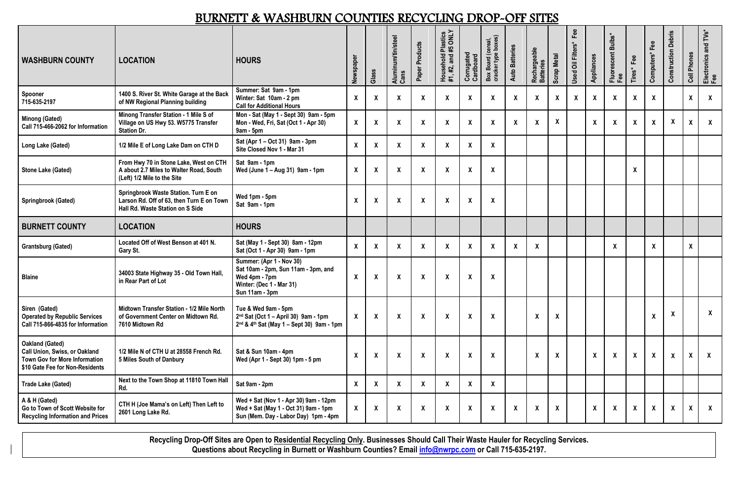| DOIN (DIT WITHOLD ON TOO ON THE RUCH OHN TO DINGT<br>VII VIIIV                                                                            |                                                                                                                       |                                                                                                                                |                  |                           |                            |                           |                                                     |                         |                                           |                           |                           |                           |                          |                    |                                |                           |                           |                               |                           |                                |
|-------------------------------------------------------------------------------------------------------------------------------------------|-----------------------------------------------------------------------------------------------------------------------|--------------------------------------------------------------------------------------------------------------------------------|------------------|---------------------------|----------------------------|---------------------------|-----------------------------------------------------|-------------------------|-------------------------------------------|---------------------------|---------------------------|---------------------------|--------------------------|--------------------|--------------------------------|---------------------------|---------------------------|-------------------------------|---------------------------|--------------------------------|
| <b>WASHBURN COUNTY</b>                                                                                                                    | <b>LOCATION</b>                                                                                                       | <b>HOURS</b>                                                                                                                   | Newspaper        | Glass                     | Aluminum/tin/steel<br>Cans | Products<br>Paper         | Plastics<br>#5 ONLY<br>Household I<br>#1, #2, and # | Corrugated<br>Cardboard | Box Board (cereal,<br>cracker type boxes) | <b>Auto Batteries</b>     | Rechargeable<br>Batteries | <b>Scrap Metal</b>        | Fee<br>Used Oil Filters* | Appliances         | Bulbs*<br>Fluorescent I<br>Fee | Fee<br>Tires*             | Fee<br>Computers*         | <b>Debris</b><br>Construction | Cell Phones               | and TVs*<br>Electronics<br>Fee |
| Spooner<br>715-635-2197                                                                                                                   | 1400 S. River St. White Garage at the Back<br>of NW Regional Planning building                                        | Summer: Sat 9am - 1pm<br>Winter: Sat 10am - 2 pm<br><b>Call for Additional Hours</b>                                           | $\boldsymbol{X}$ | $\boldsymbol{X}$          | $\boldsymbol{X}$           | $\boldsymbol{\mathsf{X}}$ | X                                                   | $\boldsymbol{X}$        | $\boldsymbol{X}$                          | X                         | $\boldsymbol{\mathsf{X}}$ | $\pmb{\chi}$              | $\pmb{\mathsf{X}}$       | $\pmb{\mathsf{X}}$ | $\boldsymbol{\mathsf{X}}$      | $\boldsymbol{\mathsf{X}}$ |                           |                               | $\pmb{\mathsf{X}}$        | $\mathsf{X}$                   |
| <b>Minong (Gated)</b><br>Call 715-466-2062 for Information                                                                                | Minong Transfer Station - 1 Mile S of<br>Village on US Hwy 53. W5775 Transfer<br><b>Station Dr.</b>                   | Mon - Sat (May 1 - Sept 30) 9am - 5pm<br>Mon - Wed, Fri, Sat (Oct 1 - Apr 30)<br>$9am - 5pm$                                   | $\bm{X}$         | $\boldsymbol{X}$          | $\boldsymbol{X}$           | $\boldsymbol{\mathsf{X}}$ | $\boldsymbol{X}$                                    | $\boldsymbol{X}$        | $\boldsymbol{X}$                          | $\boldsymbol{X}$          | $\boldsymbol{\mathsf{X}}$ | $\boldsymbol{X}$          |                          | $\pmb{\chi}$       | $\boldsymbol{\mathsf{X}}$      | $\boldsymbol{\mathsf{X}}$ | $\boldsymbol{\mathsf{X}}$ | $\boldsymbol{\mathsf{X}}$     | X                         | $\mathsf{X}$                   |
| Long Lake (Gated)                                                                                                                         | 1/2 Mile E of Long Lake Dam on CTH D                                                                                  | Sat (Apr 1 – Oct 31) 9am - 3pm<br>Site Closed Nov 1 - Mar 31                                                                   | $\mathsf{X}$     | $\boldsymbol{\mathsf{X}}$ | $\boldsymbol{X}$           | $\boldsymbol{\mathsf{X}}$ | $\boldsymbol{\mathsf{X}}$                           | $\boldsymbol{X}$        | $\boldsymbol{X}$                          |                           |                           |                           |                          |                    |                                |                           |                           |                               |                           |                                |
| <b>Stone Lake (Gated)</b>                                                                                                                 | From Hwy 70 in Stone Lake, West on CTH<br>A about 2.7 Miles to Walter Road, South<br>(Left) 1/2 Mile to the Site      | Sat 9am - 1pm<br>Wed (June $1 - Aug 31$ ) 9am - 1pm                                                                            | $\mathsf{X}$     | X                         | $\boldsymbol{X}$           | $\boldsymbol{\mathsf{X}}$ | $\boldsymbol{\mathsf{X}}$                           | $\boldsymbol{X}$        | $\boldsymbol{X}$                          |                           |                           |                           |                          |                    |                                | $\boldsymbol{\mathsf{X}}$ |                           |                               |                           |                                |
| <b>Springbrook (Gated)</b>                                                                                                                | Springbrook Waste Station. Turn E on<br>Larson Rd. Off of 63, then Turn E on Town<br>Hall Rd. Waste Station on S Side | Wed 1pm - 5pm<br>Sat 9am - 1pm                                                                                                 | $\boldsymbol{X}$ | $\boldsymbol{X}$          | $\boldsymbol{X}$           | $\boldsymbol{\mathsf{X}}$ | X                                                   | $\boldsymbol{X}$        | $\boldsymbol{X}$                          |                           |                           |                           |                          |                    |                                |                           |                           |                               |                           |                                |
| <b>BURNETT COUNTY</b>                                                                                                                     | <b>LOCATION</b>                                                                                                       | <b>HOURS</b>                                                                                                                   |                  |                           |                            |                           |                                                     |                         |                                           |                           |                           |                           |                          |                    |                                |                           |                           |                               |                           |                                |
| <b>Grantsburg (Gated)</b>                                                                                                                 | Located Off of West Benson at 401 N.<br>Gary St.                                                                      | Sat (May 1 - Sept 30) 8am - 12pm<br>Sat (Oct 1 - Apr 30) 9am - 1pm                                                             | $\boldsymbol{X}$ | $\boldsymbol{X}$          | $\boldsymbol{X}$           | $\boldsymbol{\mathsf{X}}$ | $\boldsymbol{\mathsf{X}}$                           | $\boldsymbol{X}$        | $\boldsymbol{X}$                          | $\boldsymbol{\mathsf{X}}$ | $\boldsymbol{\mathsf{X}}$ |                           |                          |                    | $\boldsymbol{\mathsf{X}}$      |                           | X                         |                               | $\boldsymbol{\mathsf{X}}$ |                                |
| <b>Blaine</b>                                                                                                                             | 34003 State Highway 35 - Old Town Hall,<br>in Rear Part of Lot                                                        | Summer: (Apr 1 - Nov 30)<br>Sat 10am - 2pm, Sun 11am - 3pm, and<br>Wed 4pm - 7pm<br>Winter: (Dec 1 - Mar 31)<br>Sun 11am - 3pm | $\boldsymbol{X}$ | $\boldsymbol{X}$          | $\boldsymbol{X}$           | $\boldsymbol{\mathsf{X}}$ | $\boldsymbol{\mathsf{X}}$                           | $\boldsymbol{X}$        | $\boldsymbol{\mathsf{X}}$                 |                           |                           |                           |                          |                    |                                |                           |                           |                               |                           |                                |
| Siren (Gated)<br><b>Operated by Republic Services</b><br>Call 715-866-4835 for Information                                                | Midtown Transfer Station - 1/2 Mile North<br>of Government Center on Midtown Rd.<br>7610 Midtown Rd                   | Tue & Wed 9am - 5pm<br>$2nd$ Sat (Oct 1 – April 30) 9am - 1pm<br>$2^{nd}$ & 4 <sup>th</sup> Sat (May 1 – Sept 30) 9am - 1pm    | $\mathsf{X}$     | $\boldsymbol{X}$          | $\boldsymbol{X}$           | $\boldsymbol{\mathsf{X}}$ | $\boldsymbol{X}$                                    | $\boldsymbol{X}$        | $\boldsymbol{X}$                          |                           | $\boldsymbol{\mathsf{X}}$ | $\boldsymbol{\mathsf{X}}$ |                          |                    |                                |                           | $\boldsymbol{X}$          | $\boldsymbol{\mathsf{X}}$     |                           | $\mathsf{X}$                   |
| <b>Oakland (Gated)</b><br><b>Call Union, Swiss, or Oakland</b><br><b>Town Gov for More Information</b><br>\$10 Gate Fee for Non-Residents | 1/2 Mile N of CTH U at 28558 French Rd.<br>5 Miles South of Danbury                                                   | Sat & Sun 10am - 4pm<br>Wed (Apr 1 - Sept 30) 1pm - 5 pm                                                                       | $\boldsymbol{X}$ | $\boldsymbol{\mathsf{X}}$ | $\boldsymbol{X}$           | $\boldsymbol{\mathsf{X}}$ | X                                                   | $\boldsymbol{X}$        | $\boldsymbol{X}$                          |                           | $\boldsymbol{\mathsf{X}}$ | $\boldsymbol{X}$          |                          | $\pmb{\mathsf{X}}$ | $\boldsymbol{X}$               | $\boldsymbol{X}$          | $\boldsymbol{X}$          | $\pmb{\mathsf{X}}$            | $\pmb{\mathsf{X}}$        | $\mathbf{X}$                   |
| <b>Trade Lake (Gated)</b>                                                                                                                 | Next to the Town Shop at 11810 Town Hall<br>Rd.                                                                       | Sat 9am - 2pm                                                                                                                  | $\boldsymbol{X}$ | X                         | $\boldsymbol{X}$           | $\boldsymbol{X}$          | X                                                   | $\bm{X}$                | $\boldsymbol{X}$                          |                           |                           |                           |                          |                    |                                |                           |                           |                               |                           |                                |
| A & H (Gated)<br>Go to Town of Scott Website for<br><b>Recycling Information and Prices</b>                                               | CTH H (Joe Mama's on Left) Then Left to<br>2601 Long Lake Rd.                                                         | Wed + Sat (Nov 1 - Apr 30) 9am - 12pm<br>Wed + Sat (May 1 - Oct 31) 9am - 1pm<br>Sun (Mem. Day - Labor Day) 1pm - 4pm          | $\mathsf{X}$     | $\boldsymbol{X}$          | $\boldsymbol{X}$           | $\boldsymbol{X}$          | $\boldsymbol{\mathsf{X}}$                           | $\boldsymbol{X}$        | $\boldsymbol{\mathsf{X}}$                 | $\boldsymbol{X}$          | $\boldsymbol{X}$          | $\pmb{\mathsf{X}}$        |                          | $\pmb{\mathsf{X}}$ | $\boldsymbol{X}$               | $\boldsymbol{X}$          | $\boldsymbol{X}$          | $\boldsymbol{\mathsf{X}}$     | $\boldsymbol{X}$          | $\mathsf{X}$                   |

# BURNETT & WASHBURN COUNTIES RECYCLING DROP-OFF SITES

**Recycling Drop-Off Sites are Open to Residential Recycling Only. Businesses Should Call Their Waste Hauler for Recycling Services. Questions about Recycling in Burnett or Washburn Counties? Email [info@nwrpc.com](mailto:info@nwrpc.com) or Call 715-635-2197.**